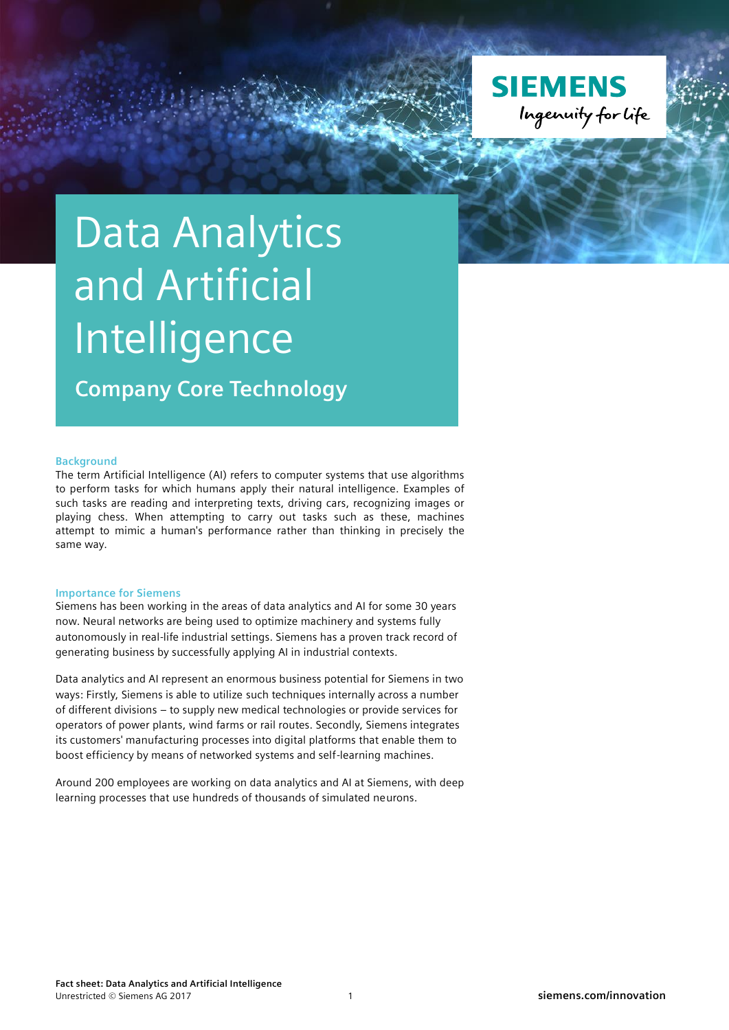

## Data Analytics and Artificial Intelligence

**Company Core Technology**

## **Background**

The term Artificial Intelligence (AI) refers to computer systems that use algorithms to perform tasks for which humans apply their natural intelligence. Examples of such tasks are reading and interpreting texts, driving cars, recognizing images or playing chess. When attempting to carry out tasks such as these, machines attempt to mimic a human's performance rather than thinking in precisely the same way.

## **Importance for Siemens**

Siemens has been working in the areas of data analytics and AI for some 30 years now. Neural networks are being used to optimize machinery and systems fully autonomously in real-life industrial settings. Siemens has a proven track record of generating business by successfully applying AI in industrial contexts.

Data analytics and AI represent an enormous business potential for Siemens in two ways: Firstly, Siemens is able to utilize such techniques internally across a number of different divisions – to supply new medical technologies or provide services for operators of power plants, wind farms or rail routes. Secondly, Siemens integrates its customers' manufacturing processes into digital platforms that enable them to boost efficiency by means of networked systems and self-learning machines.

Around 200 employees are working on data analytics and AI at Siemens, with deep learning processes that use hundreds of thousands of simulated neurons.